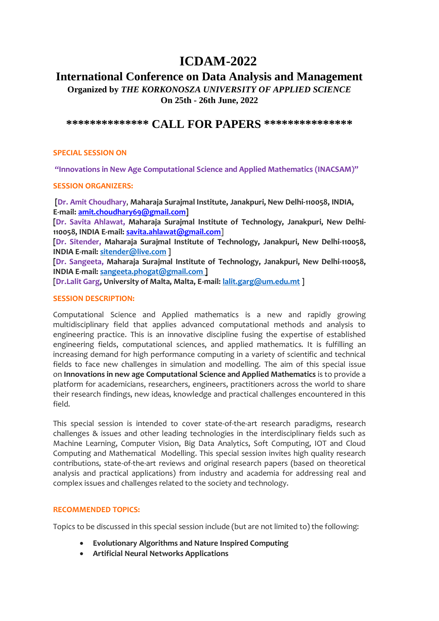# **ICDAM-2022**

## **International Conference on Data Analysis and Management**

**Organized by** *THE KORKONOSZA UNIVERSITY OF APPLIED SCIENCE* **On 25th - 26th June, 2022**

### **\*\*\*\*\*\*\*\*\*\*\*\*\*\* CALL FOR PAPERS \*\*\*\*\*\*\*\*\*\*\*\*\*\*\***

#### **SPECIAL SESSION ON**

**"Innovations in New Age Computational Science and Applied Mathematics (INACSAM)"**

#### **SESSION ORGANIZERS:**

**[Dr. Amit Choudhary**, **Maharaja Surajmal Institute, Janakpuri, New Delhi-110058, INDIA, E-mail: [amit.choudhary69@gmail.com\]](mailto:amit.choudhary69@gmail.com)**

**[Dr. Savita Ahlawat, Maharaja Surajmal Institute of Technology, Janakpuri, New Delhi-110058, INDIA E-mail: [savita.ahlawat@gmail.com](mailto:savita.ahlawat@gmail.com)**]

**[Dr. Sitender, Maharaja Surajmal Institute of Technology, Janakpuri, New Delhi-110058, INDIA E-mail: [sitender@live.com](mailto:sitender@live.com) ]**

**[Dr. Sangeeta, Maharaja Surajmal Institute of Technology, Janakpuri, New Delhi-110058, INDIA E-mail: [sangeeta.phogat@gmail.com](mailto:sangeeta.phogat@gmail.com) ]**

**[Dr.Lalit Garg, University of Malta, Malta, E-mail[: lalit.garg@um.edu.mt](mailto:lalit.garg@um.edu.mt) ]**

#### **SESSION DESCRIPTION:**

Computational Science and Applied mathematics is a new and rapidly growing multidisciplinary field that applies advanced computational methods and analysis to engineering practice. This is an innovative discipline fusing the expertise of established engineering fields, computational sciences, and applied mathematics. It is fulfilling an increasing demand for high performance computing in a variety of scientific and technical fields to face new challenges in simulation and modelling. The aim of this special issue on **Innovations in new age Computational Science and Applied Mathematics** is to provide a platform for academicians, researchers, engineers, practitioners across the world to share their research findings, new ideas, knowledge and practical challenges encountered in this field.

This special session is intended to cover state-of-the-art research paradigms, research challenges & issues and other leading technologies in the interdisciplinary fields such as Machine Learning, Computer Vision, Big Data Analytics, Soft Computing, IOT and Cloud Computing and Mathematical Modelling. This special session invites high quality research contributions, state-of-the-art reviews and original research papers (based on theoretical analysis and practical applications) from industry and academia for addressing real and complex issues and challenges related to the society and technology.

#### **RECOMMENDED TOPICS:**

Topics to be discussed in this special session include (but are not limited to) the following:

- **Evolutionary Algorithms and Nature Inspired Computing**
- **Artificial Neural Networks Applications**